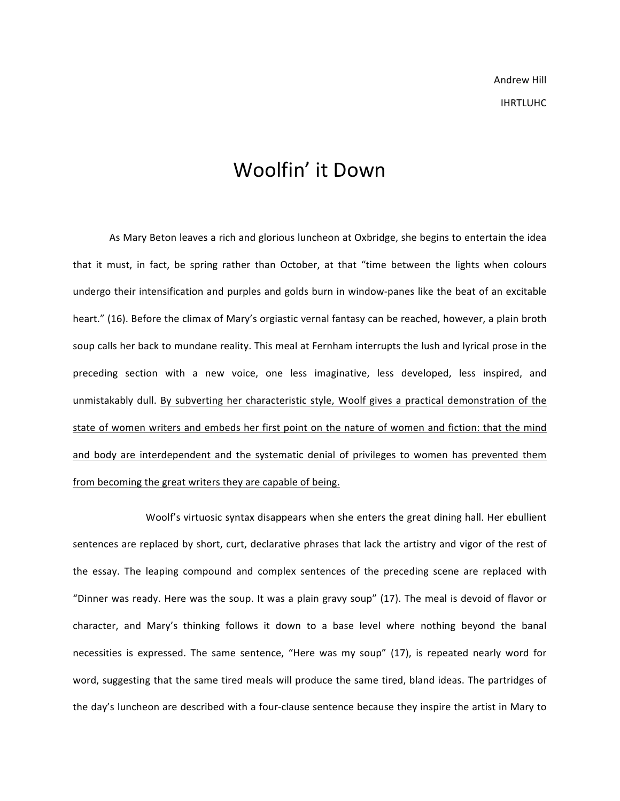## Woolfin' it Down

As Mary Beton leaves a rich and glorious luncheon at Oxbridge, she begins to entertain the idea that it must, in fact, be spring rather than October, at that "time between the lights when colours undergo their intensification and purples and golds burn in window-panes like the beat of an excitable heart." (16). Before the climax of Mary's orgiastic vernal fantasy can be reached, however, a plain broth soup calls her back to mundane reality. This meal at Fernham interrupts the lush and lyrical prose in the preceding section with a new voice, one less imaginative, less developed, less inspired, and unmistakably dull. By subverting her characteristic style, Woolf gives a practical demonstration of the state of women writers and embeds her first point on the nature of women and fiction: that the mind and body are interdependent and the systematic denial of privileges to women has prevented them from becoming the great writers they are capable of being.

Woolf's virtuosic syntax disappears when she enters the great dining hall. Her ebullient sentences are replaced by short, curt, declarative phrases that lack the artistry and vigor of the rest of the essay. The leaping compound and complex sentences of the preceding scene are replaced with "Dinner was ready. Here was the soup. It was a plain gravy soup" (17). The meal is devoid of flavor or character, and Mary's thinking follows it down to a base level where nothing beyond the banal necessities is expressed. The same sentence, "Here was my soup" (17), is repeated nearly word for word, suggesting that the same tired meals will produce the same tired, bland ideas. The partridges of the day's luncheon are described with a four-clause sentence because they inspire the artist in Mary to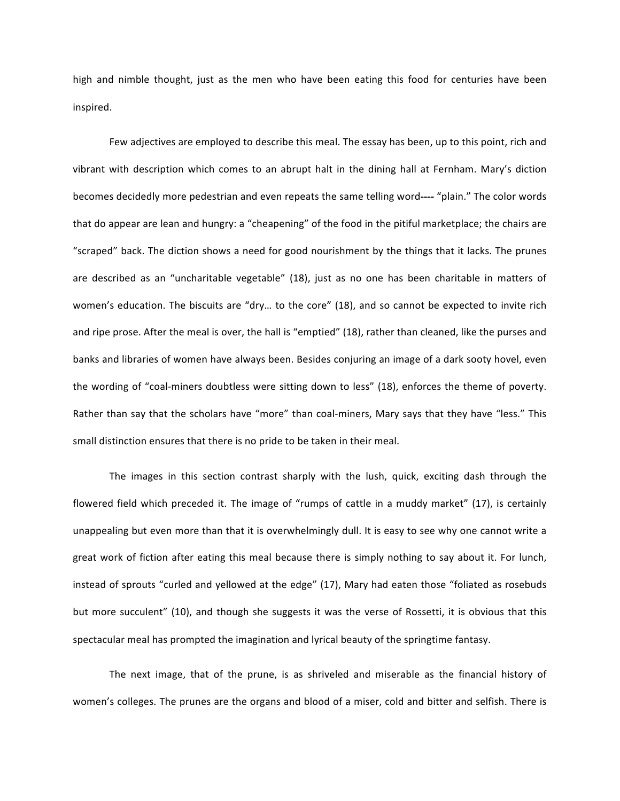high and nimble thought, just as the men who have been eating this food for centuries have been inspired.

Few adjectives are employed to describe this meal. The essay has been, up to this point, rich and vibrant with description which comes to an abrupt halt in the dining hall at Fernham. Mary's diction becomes decidedly more pedestrian and even repeats the same telling word---- "plain." The color words that do appear are lean and hungry: a "cheapening" of the food in the pitiful marketplace; the chairs are "scraped" back. The diction shows a need for good nourishment by the things that it lacks. The prunes are described as an "uncharitable vegetable" (18), just as no one has been charitable in matters of women's education. The biscuits are "dry... to the core" (18), and so cannot be expected to invite rich and ripe prose. After the meal is over, the hall is "emptied" (18), rather than cleaned, like the purses and banks and libraries of women have always been. Besides conjuring an image of a dark sooty hovel, even the wording of "coal-miners doubtless were sitting down to less" (18), enforces the theme of poverty. Rather than say that the scholars have "more" than coal-miners, Mary says that they have "less." This small distinction ensures that there is no pride to be taken in their meal.

The images in this section contrast sharply with the lush, quick, exciting dash through the flowered field which preceded it. The image of "rumps of cattle in a muddy market" (17), is certainly unappealing but even more than that it is overwhelmingly dull. It is easy to see why one cannot write a great work of fiction after eating this meal because there is simply nothing to say about it. For lunch, instead of sprouts "curled and yellowed at the edge" (17), Mary had eaten those "foliated as rosebuds but more succulent" (10), and though she suggests it was the verse of Rossetti, it is obvious that this spectacular meal has prompted the imagination and lyrical beauty of the springtime fantasy.

The next image, that of the prune, is as shriveled and miserable as the financial history of women's colleges. The prunes are the organs and blood of a miser, cold and bitter and selfish. There is